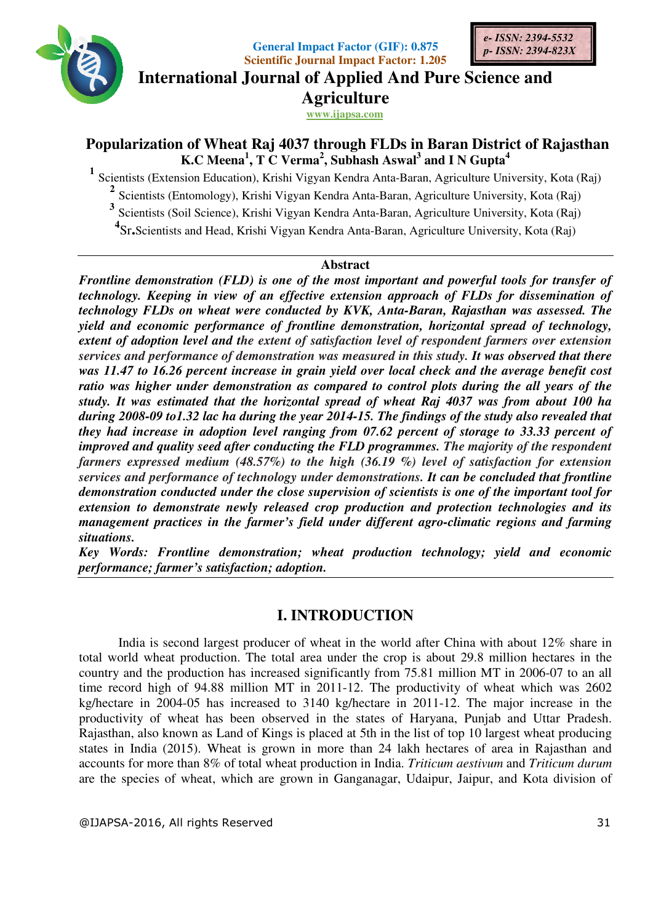





**Scientific Journal Impact Factor: 1.205 Factor: 1.205International Journal of Applied And Pure Science and International Journal Science Agriculture**

**www.ijapsa.com** 

# **Popularization of Wheat Raj 4037 through FLDs in Baran District of Rajasthan through FLDs in K.C Meena<sup>1</sup>, T C Verma<sup>2</sup>, Subhash Aswal<sup>3</sup> and I N Gupta<sup>4</sup>**

<sup>1</sup> Scientists (Extension Education), Krishi Vigyan Kendra Anta-Baran, Agriculture University, Kota (Raj) <sup>2</sup> Scientists (Entomology), Krishi Vigyan Kendra Anta-Baran, Agriculture University, Kota (Raj) 3<br>
Scientists (Soil Science), Krishi Vigyan Kendra Anta-Baran, Agriculture University, Kota (Raj)

<sup>4</sup>Sr.Scientists and Head, Krishi Vigyan Kendra Anta-Baran, Agriculture University, Kota (Raj)

# **Abstract**

*Frontline demonstration (FLD) is one of the most important and powerful tools for transfer of technology. Keeping in view of an effective extension approach of FLDs for dissemination of technology FLDs on wheat were conducted by KVK, Anta Baran, Rajasthan assessed. The yield and economic performance of frontline demonstration, horizontal spread of technology, extent of adoption level and the extent of satisfaction level of respondent farmers over extension*  services and performance of demonstration was measured in this study. It was observed that there was 11.47 to 16.26 percent increase in grain yield over local check and the average benefit cost was 11.47 to 16.26 percent increase in grain yield over local check and the average benefit cost<br>ratio was higher under demonstration as compared to control plots during the all years of the ratio was higher under demonstration as compared to control plots during the all years of the<br>study. It was estimated that the horizontal spread of wheat Raj 4037 was from about 100 ha *during 2008-09 to1.32 lac ha during the year 2014 the 2014-15. The findings of the study also revealed that*  during 2008-09 to1.32 lac ha during the year 2014-15. The findings of the study also revealed that<br>they had increase in adoption level ranging from 07.62 percent of storage to 33.33 percent of *improved and quality seed after conducting the FLD programmes. The majority of the respondent farmers expressed medium (48.57 48.57%) to the high (36.19 %) level of satisfaction for extension services and performance of technology under demonstrations. It can be concluded that frontline* demonstration conducted under the close supervision of scientists is one of the important tool for *extension to demonstrate newly released crop production and protection technologies and its*  extension to demonstrate newly released crop production and protection technologies and its<br>management practices in the farmer's field under different agro-climatic regions and farming *situations.*  farmers expressed medium (48.57%) to the high (36.19 %) level of satisfaction for extension<br>services and performance of technology under demonstrations. It can be concluded that frontline<br>demonstration conducted under the Frontline demonstration (FLD) is one of the most important and powerful tools for transfer<br>technology. Keeping in view of an effective extension approach of FLDs for dissemination<br>technology FLDs on wheat were conducted by d economic performance of frontline demonstration, horizontal spread of<br>f adoption level and the extent of satisfaction level of respondent farmers ov<br>and performance of demonstration was measured in this study. It was obs

*performance; farmer's satisfaction satisfaction; adoption.*

# **I. INTRODUCTION**

India is second largest producer of wheat in the world after China with about 12% share in total world wheat production. The total area under the crop is about 29.8 million hectares in the India is second largest producer of wheat in the world after China with about 12% share in total world wheat production. The total area under the crop is about 29.8 million hectares in the country and the production has in total world wheat production. The total area under the crop is about 29.8 million hectares in the country and the production has increased significantly from 75.81 million MT in 2006-07 to an all time record high of 94.88 time record high of 94.88 million MT in 2011-12. The productivity of wheat which was 2602 kg/hectare in 2004-05 has increased to 3140 kg/hectare in 2011-12. The major increase in the productivity of wheat has been observed in the states of Haryana, Punjab and Uttar Pradesh. Rajasthan, also known as Land of Kings is placed at 5th in the list of top 10 largest wheat producing productivity of wheat has been observed in the states of Haryana, Punjab and Uttar Pradesh.<br>Rajasthan, also known as Land of Kings is placed at 5th in the list of top 10 largest wheat producing<br>states in India (2015). Whea states in India (2015). Wheat is grown in more than 24 lakh hectares of area in Rajasthan and accounts for more than 8% of total wheat production in India. *Triticum aestivum* and *Triticum durum* are the species of wheat, which are grown in Ganganagar, Udaipur, Jaipur, and Kota division of

@IJAPSA-2016, All rights Reserved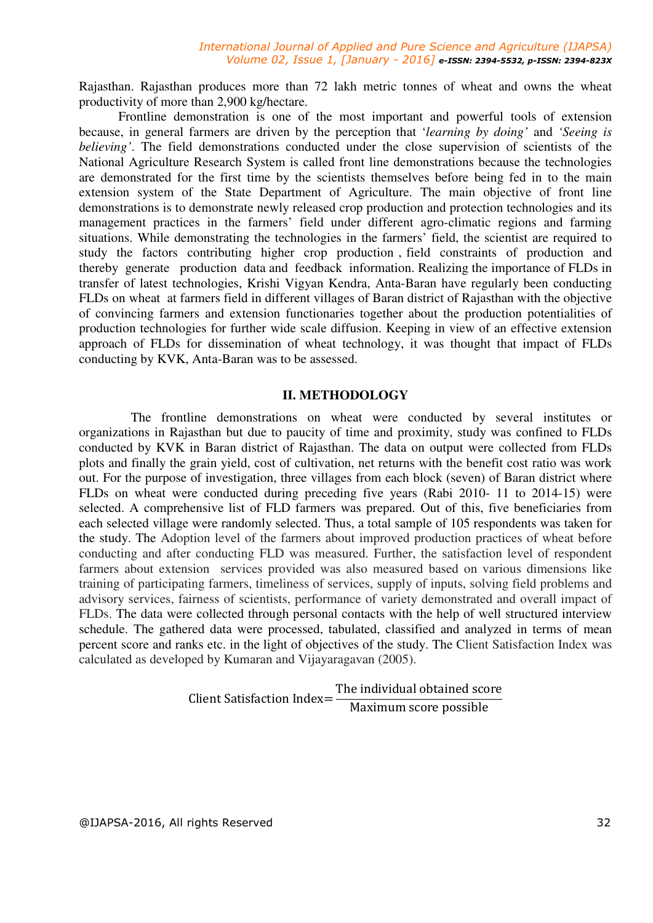Rajasthan. Rajasthan produces more than 72 lakh metric tonnes of wheat and owns the wheat productivity of more than 2,900 kg/hectare.

Frontline demonstration is one of the most important and powerful tools of extension because, in general farmers are driven by the perception that '*learning by doing'* and *'Seeing is believing'*. The field demonstrations conducted under the close supervision of scientists of the National Agriculture Research System is called front line demonstrations because the technologies are demonstrated for the first time by the scientists themselves before being fed in to the main extension system of the State Department of Agriculture. The main objective of front line demonstrations is to demonstrate newly released crop production and protection technologies and its management practices in the farmers' field under different agro-climatic regions and farming situations. While demonstrating the technologies in the farmers' field, the scientist are required to study the factors contributing higher crop production , field constraints of production and thereby generate production data and feedback information. Realizing the importance of FLDs in transfer of latest technologies, Krishi Vigyan Kendra, Anta-Baran have regularly been conducting FLDs on wheat at farmers field in different villages of Baran district of Rajasthan with the objective of convincing farmers and extension functionaries together about the production potentialities of production technologies for further wide scale diffusion. Keeping in view of an effective extension approach of FLDs for dissemination of wheat technology, it was thought that impact of FLDs conducting by KVK, Anta-Baran was to be assessed.

### **II. METHODOLOGY**

 The frontline demonstrations on wheat were conducted by several institutes or organizations in Rajasthan but due to paucity of time and proximity, study was confined to FLDs conducted by KVK in Baran district of Rajasthan. The data on output were collected from FLDs plots and finally the grain yield, cost of cultivation, net returns with the benefit cost ratio was work out. For the purpose of investigation, three villages from each block (seven) of Baran district where FLDs on wheat were conducted during preceding five years (Rabi 2010- 11 to 2014-15) were selected. A comprehensive list of FLD farmers was prepared. Out of this, five beneficiaries from each selected village were randomly selected. Thus, a total sample of 105 respondents was taken for the study. The Adoption level of the farmers about improved production practices of wheat before conducting and after conducting FLD was measured. Further, the satisfaction level of respondent farmers about extension services provided was also measured based on various dimensions like training of participating farmers, timeliness of services, supply of inputs, solving field problems and advisory services, fairness of scientists, performance of variety demonstrated and overall impact of FLDs. The data were collected through personal contacts with the help of well structured interview schedule. The gathered data were processed, tabulated, classified and analyzed in terms of mean percent score and ranks etc. in the light of objectives of the study. The Client Satisfaction Index was calculated as developed by Kumaran and Vijayaragavan (2005).

> Client Satisfaction Index= The individual obtained score Maximum score possible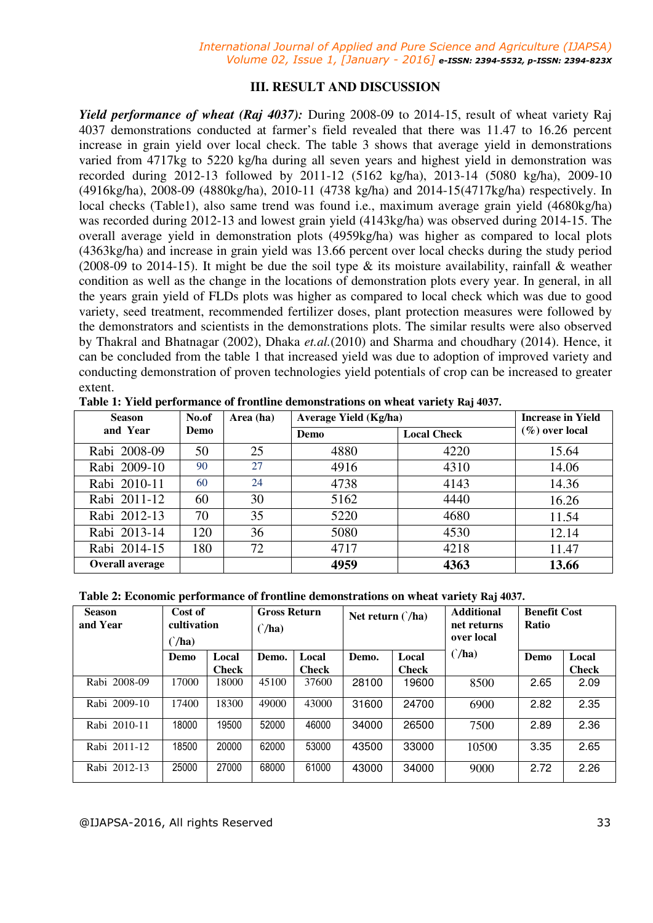# **III. RESULT AND DISCUSSION**

*Yield performance of wheat (Raj 4037):* During 2008-09 to 2014-15, result of wheat variety Raj 4037 demonstrations conducted at farmer's field revealed that there was 11.47 to 16.26 percent increase in grain yield over local check. The table 3 shows that average yield in demonstrations varied from 4717kg to 5220 kg/ha during all seven years and highest yield in demonstration was recorded during 2012-13 followed by 2011-12 (5162 kg/ha), 2013-14 (5080 kg/ha), 2009-10 (4916kg/ha), 2008-09 (4880kg/ha), 2010-11 (4738 kg/ha) and 2014-15(4717kg/ha) respectively. In local checks (Table1), also same trend was found i.e., maximum average grain yield (4680kg/ha) was recorded during 2012-13 and lowest grain yield (4143kg/ha) was observed during 2014-15. The overall average yield in demonstration plots (4959kg/ha) was higher as compared to local plots (4363kg/ha) and increase in grain yield was 13.66 percent over local checks during the study period (2008-09 to 2014-15). It might be due the soil type  $\&$  its moisture availability, rainfall  $\&$  weather condition as well as the change in the locations of demonstration plots every year. In general, in all the years grain yield of FLDs plots was higher as compared to local check which was due to good variety, seed treatment, recommended fertilizer doses, plant protection measures were followed by the demonstrators and scientists in the demonstrations plots. The similar results were also observed by Thakral and Bhatnagar (2002), Dhaka *et.al.*(2010) and Sharma and choudhary (2014). Hence, it can be concluded from the table 1 that increased yield was due to adoption of improved variety and conducting demonstration of proven technologies yield potentials of crop can be increased to greater extent.

| <b>Season</b>   | No.of | Area (ha) | Average Yield (Kg/ha)      |      | <b>Increase in Yield</b> |  |
|-----------------|-------|-----------|----------------------------|------|--------------------------|--|
| and Year        | Demo  |           | <b>Local Check</b><br>Demo |      | $(\%)$ over local        |  |
| Rabi 2008-09    | 50    | 25        | 4880                       | 4220 | 15.64                    |  |
| Rabi 2009-10    | 90    | 27        | 4916                       | 4310 | 14.06                    |  |
| Rabi 2010-11    | 60    | 24        | 4738                       | 4143 | 14.36                    |  |
| Rabi 2011-12    | 60    | 30        | 5162                       | 4440 | 16.26                    |  |
| Rabi 2012-13    | 70    | 35        | 5220                       | 4680 | 11.54                    |  |
| Rabi 2013-14    | 120   | 36        | 5080                       | 4530 | 12.14                    |  |
| Rabi 2014-15    | 180   | 72        | 4717                       | 4218 | 11.47                    |  |
| Overall average |       |           | 4959                       | 4363 | 13.66                    |  |

**Table 1: Yield performance of frontline demonstrations on wheat variety Raj 4037.**

| <b>Season</b><br>and Year | Cost of<br>cultivation<br>$(\hat{a})$ |                       | <b>Gross Return</b><br>$(\hat{A})$ |                       | Net return $(\hat{h}a)$ |                       | <b>Additional</b><br>net returns<br>over local | <b>Benefit Cost</b><br>Ratio |                       |
|---------------------------|---------------------------------------|-----------------------|------------------------------------|-----------------------|-------------------------|-----------------------|------------------------------------------------|------------------------------|-----------------------|
|                           | Demo                                  | Local<br><b>Check</b> | Demo.                              | Local<br><b>Check</b> | Demo.                   | Local<br><b>Check</b> | $(\hat{A})$                                    | Demo                         | Local<br><b>Check</b> |
| Rabi 2008-09              | 17000                                 | 18000                 | 45100                              | 37600                 | 28100                   | 19600                 | 8500                                           | 2.65                         | 2.09                  |
| Rabi 2009-10              | 17400                                 | 18300                 | 49000                              | 43000                 | 31600                   | 24700                 | 6900                                           | 2.82                         | 2.35                  |
| Rabi 2010-11              | 18000                                 | 19500                 | 52000                              | 46000                 | 34000                   | 26500                 | 7500                                           | 2.89                         | 2.36                  |
| Rabi 2011-12              | 18500                                 | 20000                 | 62000                              | 53000                 | 43500                   | 33000                 | 10500                                          | 3.35                         | 2.65                  |
| Rabi 2012-13              | 25000                                 | 27000                 | 68000                              | 61000                 | 43000                   | 34000                 | 9000                                           | 2.72                         | 2.26                  |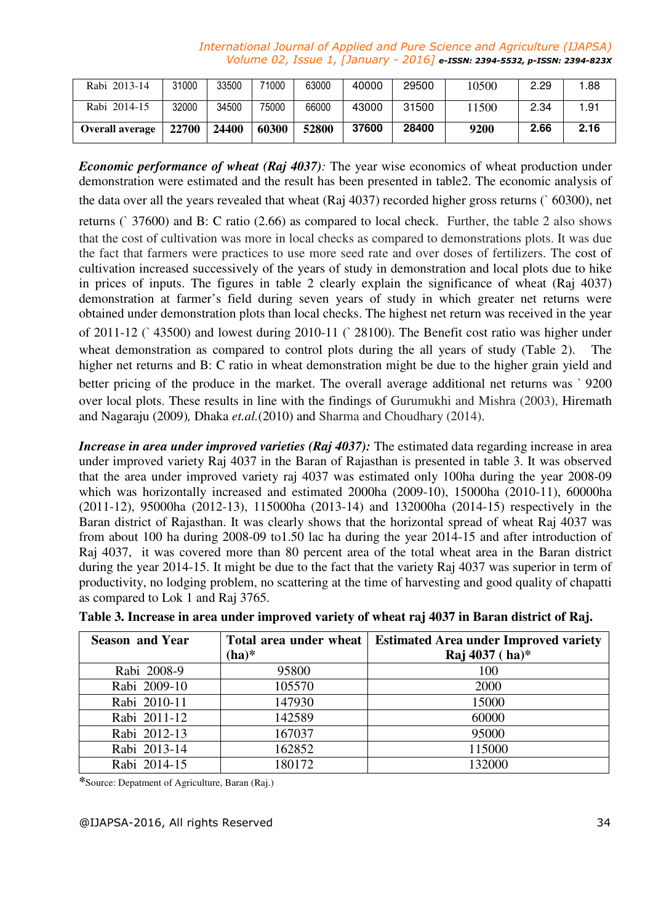| Rabi 2013-14           | 31000 | 33500 | 71000 | 63000 | 40000 | 29500 | 10500 | 2.29 | .88  |
|------------------------|-------|-------|-------|-------|-------|-------|-------|------|------|
| Rabi 2014-15           | 32000 | 34500 | 75000 | 66000 | 43000 | 31500 | 11500 | 2.34 | 1.91 |
| <b>Overall average</b> | 22700 | 24400 | 60300 | 52800 | 37600 | 28400 | 9200  | 2.66 | 2.16 |

*Economic performance of wheat (Raj 4037):* The year wise economics of wheat production under demonstration were estimated and the result has been presented in table2. The economic analysis of the data over all the years revealed that wheat (Raj 4037) recorded higher gross returns (` 60300), net returns (` 37600) and B: C ratio (2.66) as compared to local check. Further, the table 2 also shows that the cost of cultivation was more in local checks as compared to demonstrations plots. It was due the fact that farmers were practices to use more seed rate and over doses of fertilizers. The cost of cultivation increased successively of the years of study in demonstration and local plots due to hike in prices of inputs. The figures in table 2 clearly explain the significance of wheat (Raj 4037) demonstration at farmer's field during seven years of study in which greater net returns were obtained under demonstration plots than local checks. The highest net return was received in the year of 2011-12 (` 43500) and lowest during 2010-11 (` 28100). The Benefit cost ratio was higher under wheat demonstration as compared to control plots during the all years of study (Table 2). The higher net returns and B: C ratio in wheat demonstration might be due to the higher grain yield and better pricing of the produce in the market. The overall average additional net returns was ` 9200 over local plots. These results in line with the findings of Gurumukhi and Mishra (2003), Hiremath and Nagaraju (2009)*,* Dhaka *et.al.*(2010) and Sharma and Choudhary (2014).

*Increase in area under improved varieties (Raj 4037):* The estimated data regarding increase in area under improved variety Raj 4037 in the Baran of Rajasthan is presented in table 3. It was observed that the area under improved variety raj 4037 was estimated only 100ha during the year 2008-09 which was horizontally increased and estimated 2000ha (2009-10), 15000ha (2010-11), 60000ha (2011-12), 95000ha (2012-13), 115000ha (2013-14) and 132000ha (2014-15) respectively in the Baran district of Rajasthan. It was clearly shows that the horizontal spread of wheat Raj 4037 was from about 100 ha during 2008-09 to1.50 lac ha during the year 2014-15 and after introduction of Raj 4037, it was covered more than 80 percent area of the total wheat area in the Baran district during the year 2014-15. It might be due to the fact that the variety Raj 4037 was superior in term of productivity, no lodging problem, no scattering at the time of harvesting and good quality of chapatti as compared to Lok 1 and Raj 3765.

| <b>Season and Year</b> | Total area under wheat | <b>Estimated Area under Improved variety</b> |
|------------------------|------------------------|----------------------------------------------|
|                        | $(ha)*$                | Raj $4037$ (ha)*                             |
| Rabi 2008-9            | 95800                  | 100                                          |
| Rabi 2009-10           | 105570                 | 2000                                         |
| Rabi 2010-11           | 147930                 | 15000                                        |
| Rabi 2011-12           | 142589                 | 60000                                        |
| Rabi 2012-13           | 167037                 | 95000                                        |
| Rabi 2013-14           | 162852                 | 115000                                       |
| Rabi 2014-15           | 180172                 | 132000                                       |

**Table 3. Increase in area under improved variety of wheat raj 4037 in Baran district of Raj.** 

**\***Source: Depatment of Agriculture, Baran (Raj.)

#### @IJAPSA-2016, All rights Reserved 34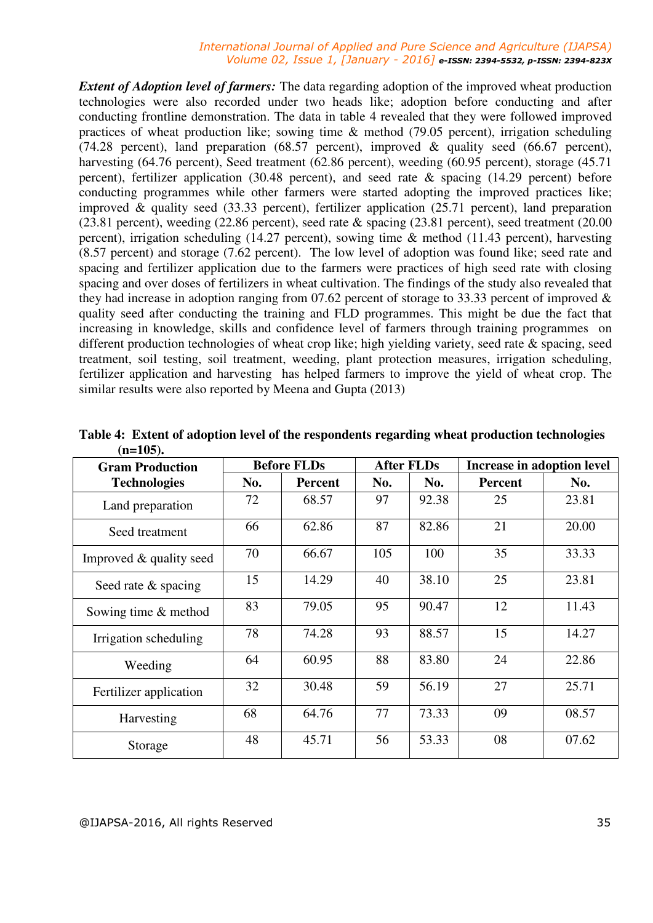*Extent of Adoption level of farmers:* The data regarding adoption of the improved wheat production technologies were also recorded under two heads like; adoption before conducting and after conducting frontline demonstration. The data in table 4 revealed that they were followed improved practices of wheat production like; sowing time & method (79.05 percent), irrigation scheduling (74.28 percent), land preparation (68.57 percent), improved  $\&$  quality seed (66.67 percent), harvesting (64.76 percent), Seed treatment (62.86 percent), weeding (60.95 percent), storage (45.71 percent), fertilizer application (30.48 percent), and seed rate & spacing (14.29 percent) before conducting programmes while other farmers were started adopting the improved practices like; improved & quality seed (33.33 percent), fertilizer application (25.71 percent), land preparation (23.81 percent), weeding (22.86 percent), seed rate & spacing (23.81 percent), seed treatment (20.00 percent), irrigation scheduling (14.27 percent), sowing time & method (11.43 percent), harvesting (8.57 percent) and storage (7.62 percent). The low level of adoption was found like; seed rate and spacing and fertilizer application due to the farmers were practices of high seed rate with closing spacing and over doses of fertilizers in wheat cultivation. The findings of the study also revealed that they had increase in adoption ranging from 07.62 percent of storage to 33.33 percent of improved  $\&$ quality seed after conducting the training and FLD programmes. This might be due the fact that increasing in knowledge, skills and confidence level of farmers through training programmes on different production technologies of wheat crop like; high yielding variety, seed rate & spacing, seed treatment, soil testing, soil treatment, weeding, plant protection measures, irrigation scheduling, fertilizer application and harvesting has helped farmers to improve the yield of wheat crop. The similar results were also reported by Meena and Gupta (2013)

| <b>Gram Production</b>  | <b>Before FLDs</b> |         | <b>After FLDs</b> |       | <b>Increase in adoption level</b> |       |
|-------------------------|--------------------|---------|-------------------|-------|-----------------------------------|-------|
| <b>Technologies</b>     | No.                | Percent | No.               | No.   | <b>Percent</b>                    | No.   |
| Land preparation        | 72                 | 68.57   | 97                | 92.38 | 25                                | 23.81 |
| Seed treatment          | 66                 | 62.86   | 87                | 82.86 | 21                                | 20.00 |
| Improved & quality seed | 70                 | 66.67   | 105               | 100   | 35                                | 33.33 |
| Seed rate & spacing     | 15                 | 14.29   | 40                | 38.10 | 25                                | 23.81 |
| Sowing time & method    | 83                 | 79.05   | 95                | 90.47 | 12                                | 11.43 |
| Irrigation scheduling   | 78                 | 74.28   | 93                | 88.57 | 15                                | 14.27 |
| Weeding                 | 64                 | 60.95   | 88                | 83.80 | 24                                | 22.86 |
| Fertilizer application  | 32                 | 30.48   | 59                | 56.19 | 27                                | 25.71 |
| Harvesting              | 68                 | 64.76   | 77                | 73.33 | 09                                | 08.57 |
| Storage                 | 48                 | 45.71   | 56                | 53.33 | 08                                | 07.62 |

**Table 4: Extent of adoption level of the respondents regarding wheat production technologies (n=105).**